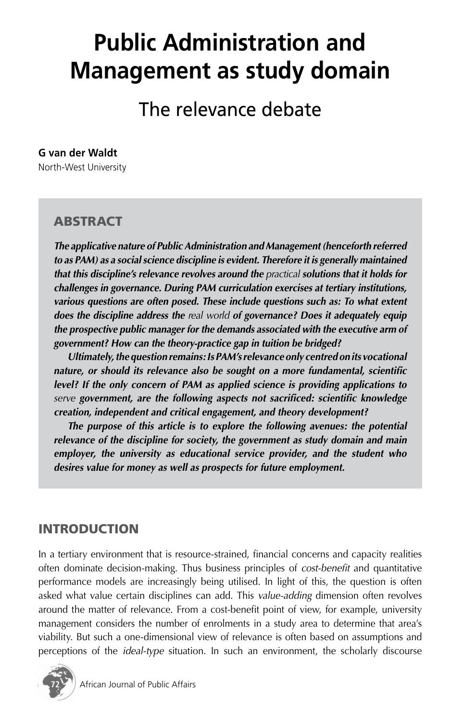# **Public Administration and Management as study domain**

The relevance debate

#### **G van der Waldt**

North-West University

# **ABSTRACT**

*The applicative nature of Public Administration and Management (henceforth referred to as PAM) as a social science discipline is evident. Therefore it is generally maintained that this discipline's relevance revolves around the practical solutions that it holds for challenges in governance. During PAM curriculation exercises at tertiary institutions, various questions are often posed. These include questions such as: To what extent does the discipline address the real world of governance? Does it adequately equip the prospective public manager for the demands associated with the executive arm of government? How can the theory-practice gap in tuition be bridged?*

*Ultimately, the question remains: Is PAM's relevance only centred on its vocational nature, or should its relevance also be sought on a more fundamental, scientific level? If the only concern of PAM as applied science is providing applications to serve government, are the following aspects not sacrificed: scientific knowledge creation, independent and critical engagement, and theory development?*

*The purpose of this article is to explore the following avenues: the potential relevance of the discipline for society, the government as study domain and main employer, the university as educational service provider, and the student who desires value for money as well as prospects for future employment.*

# INTRODUCTION

In a tertiary environment that is resource-strained, financial concerns and capacity realities often dominate decision-making. Thus business principles of *cost-benefit* and quantitative performance models are increasingly being utilised. In light of this, the question is often asked what value certain disciplines can add. This *value-adding* dimension often revolves around the matter of relevance. From a cost-benefit point of view, for example, university management considers the number of enrolments in a study area to determine that area's viability. But such a one-dimensional view of relevance is often based on assumptions and perceptions of the *ideal-type* situation. In such an environment, the scholarly discourse

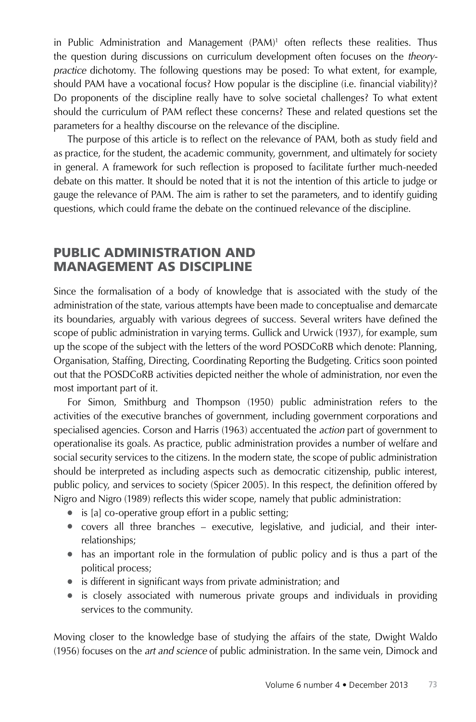in Public Administration and Management (PAM)<sup>1</sup> often reflects these realities. Thus the question during discussions on curriculum development often focuses on the *theorypractice* dichotomy. The following questions may be posed: To what extent, for example, should PAM have a vocational focus? How popular is the discipline (i.e. financial viability)? Do proponents of the discipline really have to solve societal challenges? To what extent should the curriculum of PAM reflect these concerns? These and related questions set the parameters for a healthy discourse on the relevance of the discipline.

The purpose of this article is to reflect on the relevance of PAM, both as study field and as practice, for the student, the academic community, government, and ultimately for society in general. A framework for such reflection is proposed to facilitate further much-needed debate on this matter. It should be noted that it is not the intention of this article to judge or gauge the relevance of PAM. The aim is rather to set the parameters, and to identify guiding questions, which could frame the debate on the continued relevance of the discipline.

#### PUBLIC ADMINISTRATION AND MANAGEMENT AS DISCIPLINE

Since the formalisation of a body of knowledge that is associated with the study of the administration of the state, various attempts have been made to conceptualise and demarcate its boundaries, arguably with various degrees of success. Several writers have defined the scope of public administration in varying terms. Gullick and Urwick (1937), for example, sum up the scope of the subject with the letters of the word POSDCoRB which denote: Planning, Organisation, Staffing, Directing, Coordinating Reporting the Budgeting. Critics soon pointed out that the POSDCoRB activities depicted neither the whole of administration, nor even the most important part of it.

For Simon, Smithburg and Thompson (1950) public administration refers to the activities of the executive branches of government, including government corporations and specialised agencies. Corson and Harris (1963) accentuated the *action* part of government to operationalise its goals. As practice, public administration provides a number of welfare and social security services to the citizens. In the modern state, the scope of public administration should be interpreted as including aspects such as democratic citizenship, public interest, public policy, and services to society (Spicer 2005). In this respect, the definition offered by Nigro and Nigro (1989) reflects this wider scope, namely that public administration:

- is [a] co-operative group effort in a public setting;
- covers all three branches executive, legislative, and judicial, and their interrelationships;
- has an important role in the formulation of public policy and is thus a part of the political process;
- is different in significant ways from private administration; and
- is closely associated with numerous private groups and individuals in providing services to the community.

Moving closer to the knowledge base of studying the affairs of the state, Dwight Waldo (1956) focuses on the *art and science* of public administration. In the same vein, Dimock and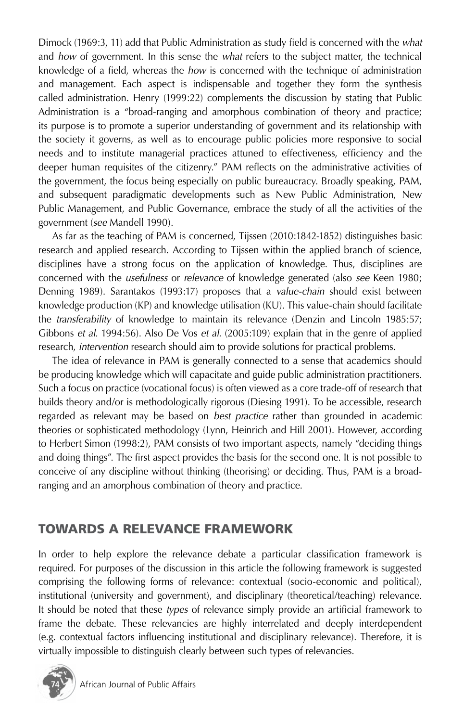Dimock (1969:3, 11) add that Public Administration as study field is concerned with the *what* and *how* of government. In this sense the *what* refers to the subject matter, the technical knowledge of a field, whereas the *how* is concerned with the technique of administration and management. Each aspect is indispensable and together they form the synthesis called administration. Henry (1999:22) complements the discussion by stating that Public Administration is a "broad-ranging and amorphous combination of theory and practice; its purpose is to promote a superior understanding of government and its relationship with the society it governs, as well as to encourage public policies more responsive to social needs and to institute managerial practices attuned to effectiveness, efficiency and the deeper human requisites of the citizenry." PAM reflects on the administrative activities of the government, the focus being especially on public bureaucracy. Broadly speaking, PAM, and subsequent paradigmatic developments such as New Public Administration, New Public Management, and Public Governance, embrace the study of all the activities of the government (*see* Mandell 1990).

As far as the teaching of PAM is concerned, Tijssen (2010:1842-1852) distinguishes basic research and applied research. According to Tijssen within the applied branch of science, disciplines have a strong focus on the application of knowledge. Thus, disciplines are concerned with the *usefulness* or *relevance* of knowledge generated (also *see* Keen 1980; Denning 1989). Sarantakos (1993:17) proposes that a *value-chain* should exist between knowledge production (KP) and knowledge utilisation (KU). This value-chain should facilitate the *transferability* of knowledge to maintain its relevance (Denzin and Lincoln 1985:57; Gibbons *et al.* 1994:56). Also De Vos *et al.* (2005:109) explain that in the genre of applied research, *intervention* research should aim to provide solutions for practical problems.

The idea of relevance in PAM is generally connected to a sense that academics should be producing knowledge which will capacitate and guide public administration practitioners. Such a focus on practice (vocational focus) is often viewed as a core trade-off of research that builds theory and/or is methodologically rigorous (Diesing 1991). To be accessible, research regarded as relevant may be based on *best practice* rather than grounded in academic theories or sophisticated methodology (Lynn, Heinrich and Hill 2001). However, according to Herbert Simon (1998:2), PAM consists of two important aspects, namely "deciding things and doing things". The first aspect provides the basis for the second one. It is not possible to conceive of any discipline without thinking (theorising) or deciding. Thus, PAM is a broadranging and an amorphous combination of theory and practice.

# TOWARDS A RELEVANCE FRAMEWORK

In order to help explore the relevance debate a particular classification framework is required. For purposes of the discussion in this article the following framework is suggested comprising the following forms of relevance: contextual (socio-economic and political), institutional (university and government), and disciplinary (theoretical/teaching) relevance. It should be noted that these *types* of relevance simply provide an artificial framework to frame the debate. These relevancies are highly interrelated and deeply interdependent (e.g. contextual factors influencing institutional and disciplinary relevance). Therefore, it is virtually impossible to distinguish clearly between such types of relevancies.

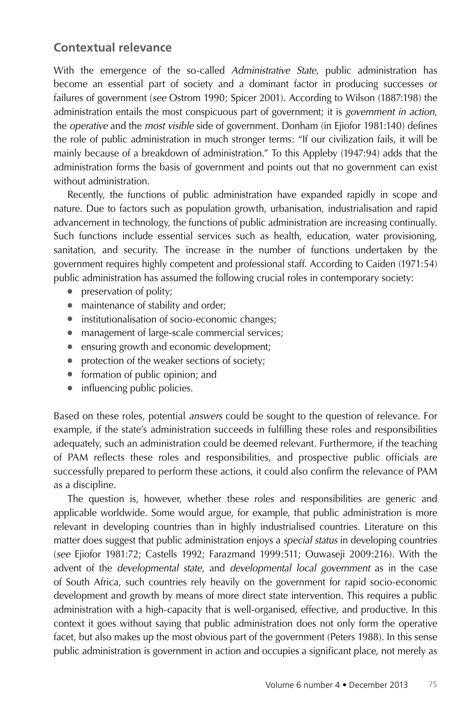# **Contextual relevance**

With the emergence of the so-called *Administrative State*, public administration has become an essential part of society and a dominant factor in producing successes or failures of government (*see* Ostrom 1990; Spicer 2001). According to Wilson (1887:198) the administration entails the most conspicuous part of government; it is *government in action*, the *operative* and the *most visible* side of government. Donham (in Ejiofor 1981:140) defines the role of public administration in much stronger terms: "If our civilization fails, it will be mainly because of a breakdown of administration." To this Appleby (1947:94) adds that the administration forms the basis of government and points out that no government can exist without administration.

Recently, the functions of public administration have expanded rapidly in scope and nature. Due to factors such as population growth, urbanisation, industrialisation and rapid advancement in technology, the functions of public administration are increasing continually. Such functions include essential services such as health, education, water provisioning, sanitation, and security. The increase in the number of functions undertaken by the government requires highly competent and professional staff. According to Caiden (1971:54) public administration has assumed the following crucial roles in contemporary society:

- preservation of polity;
- maintenance of stability and order;
- institutionalisation of socio-economic changes;
- management of large-scale commercial services;
- ensuring growth and economic development;
- protection of the weaker sections of society;
- formation of public opinion; and
- influencing public policies.

Based on these roles, potential *answers* could be sought to the question of relevance. For example, if the state's administration succeeds in fulfilling these roles and responsibilities adequately, such an administration could be deemed relevant. Furthermore, if the teaching of PAM reflects these roles and responsibilities, and prospective public officials are successfully prepared to perform these actions, it could also confirm the relevance of PAM as a discipline.

The question is, however, whether these roles and responsibilities are generic and applicable worldwide. Some would argue, for example, that public administration is more relevant in developing countries than in highly industrialised countries. Literature on this matter does suggest that public administration enjoys a *special status* in developing countries (*see* Ejiofor 1981:72; Castells 1992; Farazmand 1999:511; Ouwaseji 2009:216). With the advent of the *developmental state*, and *developmental local government* as in the case of South Africa, such countries rely heavily on the government for rapid socio-economic development and growth by means of more direct state intervention. This requires a public administration with a high-capacity that is well-organised, effective, and productive. In this context it goes without saying that public administration does not only form the operative facet, but also makes up the most obvious part of the government (Peters 1988). In this sense public administration is government in action and occupies a significant place, not merely as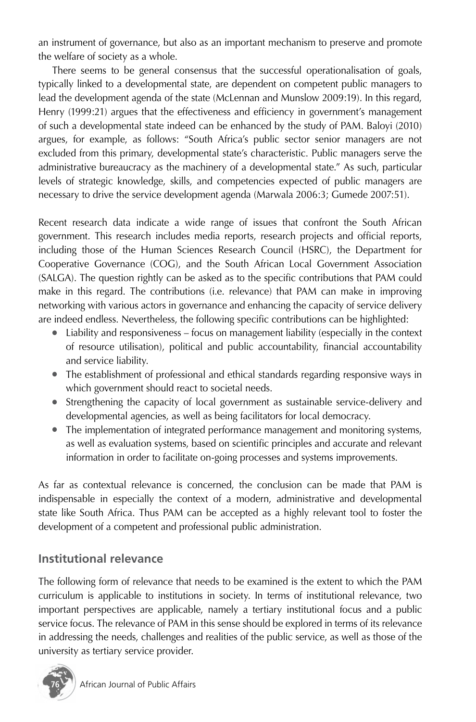an instrument of governance, but also as an important mechanism to preserve and promote the welfare of society as a whole.

There seems to be general consensus that the successful operationalisation of goals, typically linked to a developmental state, are dependent on competent public managers to lead the development agenda of the state (McLennan and Munslow 2009:19). In this regard, Henry (1999:21) argues that the effectiveness and efficiency in government's management of such a developmental state indeed can be enhanced by the study of PAM. Baloyi (2010) argues, for example, as follows: "South Africa's public sector senior managers are not excluded from this primary, developmental state's characteristic. Public managers serve the administrative bureaucracy as the machinery of a developmental state." As such, particular levels of strategic knowledge, skills, and competencies expected of public managers are necessary to drive the service development agenda (Marwala 2006:3; Gumede 2007:51).

Recent research data indicate a wide range of issues that confront the South African government. This research includes media reports, research projects and official reports, including those of the Human Sciences Research Council (HSRC), the Department for Cooperative Governance (COG), and the South African Local Government Association (SALGA). The question rightly can be asked as to the specific contributions that PAM could make in this regard. The contributions (i.e. relevance) that PAM can make in improving networking with various actors in governance and enhancing the capacity of service delivery are indeed endless. Nevertheless, the following specific contributions can be highlighted:

- Liability and responsiveness focus on management liability (especially in the context of resource utilisation), political and public accountability, financial accountability and service liability.
- The establishment of professional and ethical standards regarding responsive ways in which government should react to societal needs.
- Strengthening the capacity of local government as sustainable service-delivery and developmental agencies, as well as being facilitators for local democracy.
- The implementation of integrated performance management and monitoring systems, as well as evaluation systems, based on scientific principles and accurate and relevant information in order to facilitate on-going processes and systems improvements.

As far as contextual relevance is concerned, the conclusion can be made that PAM is indispensable in especially the context of a modern, administrative and developmental state like South Africa. Thus PAM can be accepted as a highly relevant tool to foster the development of a competent and professional public administration.

# **Institutional relevance**

The following form of relevance that needs to be examined is the extent to which the PAM curriculum is applicable to institutions in society. In terms of institutional relevance, two important perspectives are applicable, namely a tertiary institutional focus and a public service focus. The relevance of PAM in this sense should be explored in terms of its relevance in addressing the needs, challenges and realities of the public service, as well as those of the university as tertiary service provider.

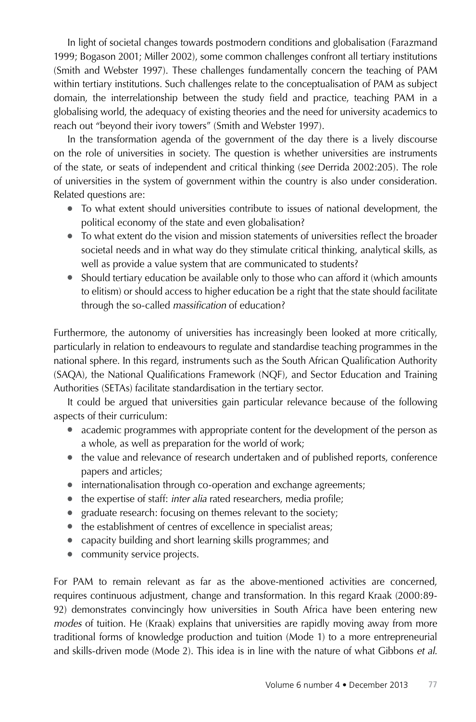In light of societal changes towards postmodern conditions and globalisation (Farazmand 1999; Bogason 2001; Miller 2002), some common challenges confront all tertiary institutions (Smith and Webster 1997). These challenges fundamentally concern the teaching of PAM within tertiary institutions. Such challenges relate to the conceptualisation of PAM as subject domain, the interrelationship between the study field and practice, teaching PAM in a globalising world, the adequacy of existing theories and the need for university academics to reach out "beyond their ivory towers" (Smith and Webster 1997).

In the transformation agenda of the government of the day there is a lively discourse on the role of universities in society. The question is whether universities are instruments of the state, or seats of independent and critical thinking (*see* Derrida 2002:205). The role of universities in the system of government within the country is also under consideration. Related questions are:

- To what extent should universities contribute to issues of national development, the political economy of the state and even globalisation?
- To what extent do the vision and mission statements of universities reflect the broader societal needs and in what way do they stimulate critical thinking, analytical skills, as well as provide a value system that are communicated to students?
- Should tertiary education be available only to those who can afford it (which amounts to elitism) or should access to higher education be a right that the state should facilitate through the so-called *massification* of education?

Furthermore, the autonomy of universities has increasingly been looked at more critically, particularly in relation to endeavours to regulate and standardise teaching programmes in the national sphere. In this regard, instruments such as the South African Qualification Authority (SAQA), the National Qualifications Framework (NQF), and Sector Education and Training Authorities (SETAs) facilitate standardisation in the tertiary sector.

It could be argued that universities gain particular relevance because of the following aspects of their curriculum:

- academic programmes with appropriate content for the development of the person as a whole, as well as preparation for the world of work;
- the value and relevance of research undertaken and of published reports, conference papers and articles;
- internationalisation through co-operation and exchange agreements;
- the expertise of staff: *inter alia* rated researchers, media profile;
- graduate research: focusing on themes relevant to the society;
- the establishment of centres of excellence in specialist areas;
- capacity building and short learning skills programmes; and
- community service projects.

For PAM to remain relevant as far as the above-mentioned activities are concerned, requires continuous adjustment, change and transformation. In this regard Kraak (2000:89- 92) demonstrates convincingly how universities in South Africa have been entering new *modes* of tuition. He (Kraak) explains that universities are rapidly moving away from more traditional forms of knowledge production and tuition (Mode 1) to a more entrepreneurial and skills-driven mode (Mode 2). This idea is in line with the nature of what Gibbons *et al.*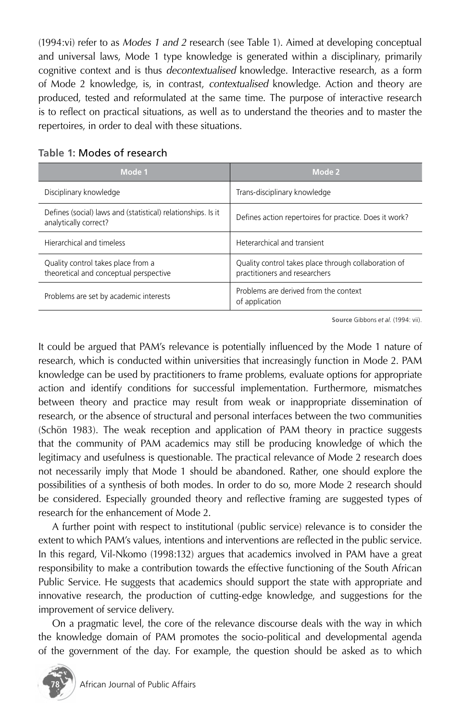(1994:vi) refer to as *Modes 1 and 2* research (see Table 1). Aimed at developing conceptual and universal laws, Mode 1 type knowledge is generated within a disciplinary, primarily cognitive context and is thus *decontextualised* knowledge. Interactive research, as a form of Mode 2 knowledge, is, in contrast, *contextualised* knowledge. Action and theory are produced, tested and reformulated at the same time. The purpose of interactive research is to reflect on practical situations, as well as to understand the theories and to master the repertoires, in order to deal with these situations.

| Mode 1                                                                                | Mode 2                                                                                |
|---------------------------------------------------------------------------------------|---------------------------------------------------------------------------------------|
| Disciplinary knowledge                                                                | Trans-disciplinary knowledge                                                          |
| Defines (social) laws and (statistical) relationships. Is it<br>analytically correct? | Defines action repertoires for practice. Does it work?                                |
| Hierarchical and timeless                                                             | Heterarchical and transient                                                           |
| Quality control takes place from a<br>theoretical and conceptual perspective          | Quality control takes place through collaboration of<br>practitioners and researchers |
| Problems are set by academic interests                                                | Problems are derived from the context<br>of application                               |

#### **Table 1:** Modes of research

**Source** Gibbons *et al.* (1994: vii).

It could be argued that PAM's relevance is potentially influenced by the Mode 1 nature of research, which is conducted within universities that increasingly function in Mode 2. PAM knowledge can be used by practitioners to frame problems, evaluate options for appropriate action and identify conditions for successful implementation. Furthermore, mismatches between theory and practice may result from weak or inappropriate dissemination of research, or the absence of structural and personal interfaces between the two communities (Schön 1983). The weak reception and application of PAM theory in practice suggests that the community of PAM academics may still be producing knowledge of which the legitimacy and usefulness is questionable. The practical relevance of Mode 2 research does not necessarily imply that Mode 1 should be abandoned. Rather, one should explore the possibilities of a synthesis of both modes. In order to do so, more Mode 2 research should be considered. Especially grounded theory and reflective framing are suggested types of research for the enhancement of Mode 2.

A further point with respect to institutional (public service) relevance is to consider the extent to which PAM's values, intentions and interventions are reflected in the public service. In this regard, Vil-Nkomo (1998:132) argues that academics involved in PAM have a great responsibility to make a contribution towards the effective functioning of the South African Public Service. He suggests that academics should support the state with appropriate and innovative research, the production of cutting-edge knowledge, and suggestions for the improvement of service delivery.

On a pragmatic level, the core of the relevance discourse deals with the way in which the knowledge domain of PAM promotes the socio-political and developmental agenda of the government of the day. For example, the question should be asked as to which

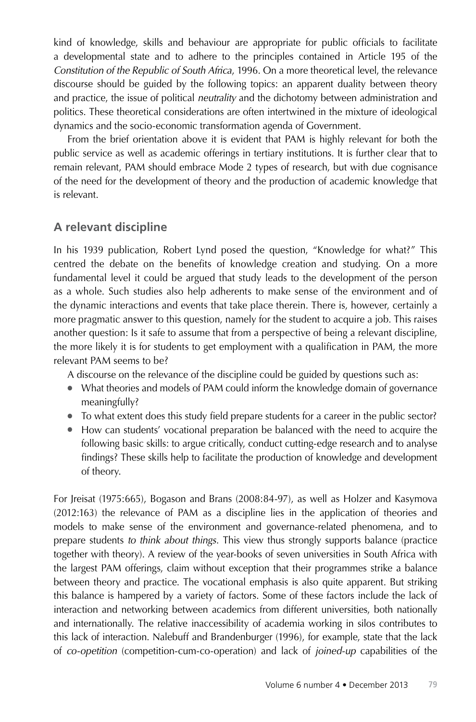kind of knowledge, skills and behaviour are appropriate for public officials to facilitate a developmental state and to adhere to the principles contained in Article 195 of the *Constitution of the Republic of South Africa*, 1996. On a more theoretical level, the relevance discourse should be guided by the following topics: an apparent duality between theory and practice, the issue of political *neutrality* and the dichotomy between administration and politics. These theoretical considerations are often intertwined in the mixture of ideological dynamics and the socio-economic transformation agenda of Government.

From the brief orientation above it is evident that PAM is highly relevant for both the public service as well as academic offerings in tertiary institutions. It is further clear that to remain relevant, PAM should embrace Mode 2 types of research, but with due cognisance of the need for the development of theory and the production of academic knowledge that is relevant.

### **A relevant discipline**

In his 1939 publication, Robert Lynd posed the question, "Knowledge for what?" This centred the debate on the benefits of knowledge creation and studying. On a more fundamental level it could be argued that study leads to the development of the person as a whole. Such studies also help adherents to make sense of the environment and of the dynamic interactions and events that take place therein. There is, however, certainly a more pragmatic answer to this question, namely for the student to acquire a job. This raises another question: Is it safe to assume that from a perspective of being a relevant discipline, the more likely it is for students to get employment with a qualification in PAM, the more relevant PAM seems to be?

A discourse on the relevance of the discipline could be guided by questions such as:

- What theories and models of PAM could inform the knowledge domain of governance meaningfully?
- To what extent does this study field prepare students for a career in the public sector?
- How can students' vocational preparation be balanced with the need to acquire the following basic skills: to argue critically, conduct cutting-edge research and to analyse findings? These skills help to facilitate the production of knowledge and development of theory.

For Jreisat (1975:665), Bogason and Brans (2008:84-97), as well as Holzer and Kasymova (2012:163) the relevance of PAM as a discipline lies in the application of theories and models to make sense of the environment and governance-related phenomena, and to prepare students *to think about things*. This view thus strongly supports balance (practice together with theory). A review of the year-books of seven universities in South Africa with the largest PAM offerings, claim without exception that their programmes strike a balance between theory and practice. The vocational emphasis is also quite apparent. But striking this balance is hampered by a variety of factors. Some of these factors include the lack of interaction and networking between academics from different universities, both nationally and internationally. The relative inaccessibility of academia working in silos contributes to this lack of interaction. Nalebuff and Brandenburger (1996), for example, state that the lack of *co-opetition* (competition-cum-co-operation) and lack of *joined-up* capabilities of the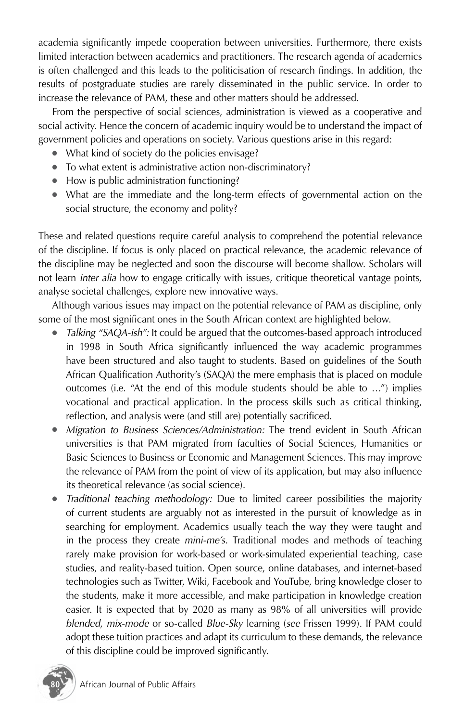academia significantly impede cooperation between universities. Furthermore, there exists limited interaction between academics and practitioners. The research agenda of academics is often challenged and this leads to the politicisation of research findings. In addition, the results of postgraduate studies are rarely disseminated in the public service. In order to increase the relevance of PAM, these and other matters should be addressed.

From the perspective of social sciences, administration is viewed as a cooperative and social activity. Hence the concern of academic inquiry would be to understand the impact of government policies and operations on society. Various questions arise in this regard:

- What kind of society do the policies envisage?
- To what extent is administrative action non-discriminatory?
- How is public administration functioning?
- What are the immediate and the long-term effects of governmental action on the social structure, the economy and polity?

These and related questions require careful analysis to comprehend the potential relevance of the discipline. If focus is only placed on practical relevance, the academic relevance of the discipline may be neglected and soon the discourse will become shallow. Scholars will not learn *inter alia* how to engage critically with issues, critique theoretical vantage points, analyse societal challenges, explore new innovative ways.

Although various issues may impact on the potential relevance of PAM as discipline, only some of the most significant ones in the South African context are highlighted below.

- *Talking "SAQA-ish":* It could be argued that the outcomes-based approach introduced in 1998 in South Africa significantly influenced the way academic programmes have been structured and also taught to students. Based on guidelines of the South African Qualification Authority's (SAQA) the mere emphasis that is placed on module outcomes (i.e. "At the end of this module students should be able to …") implies vocational and practical application. In the process skills such as critical thinking, reflection, and analysis were (and still are) potentially sacrificed.
- *Migration to Business Sciences/Administration:* The trend evident in South African universities is that PAM migrated from faculties of Social Sciences, Humanities or Basic Sciences to Business or Economic and Management Sciences. This may improve the relevance of PAM from the point of view of its application, but may also influence its theoretical relevance (as social science).
- *Traditional teaching methodology:* Due to limited career possibilities the majority of current students are arguably not as interested in the pursuit of knowledge as in searching for employment. Academics usually teach the way they were taught and in the process they create *mini-me's*. Traditional modes and methods of teaching rarely make provision for work-based or work-simulated experiential teaching, case studies, and reality-based tuition. Open source, online databases, and internet-based technologies such as Twitter, Wiki, Facebook and YouTube, bring knowledge closer to the students, make it more accessible, and make participation in knowledge creation easier. It is expected that by 2020 as many as 98% of all universities will provide *blended*, *mix-mode* or so-called *Blue-Sky* learning (*see* Frissen 1999). If PAM could adopt these tuition practices and adapt its curriculum to these demands, the relevance of this discipline could be improved significantly.

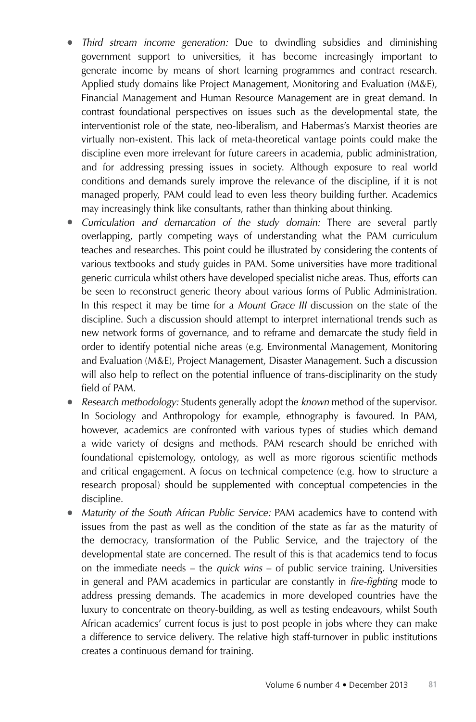- *Third stream income generation:* Due to dwindling subsidies and diminishing government support to universities, it has become increasingly important to generate income by means of short learning programmes and contract research. Applied study domains like Project Management, Monitoring and Evaluation (M&E), Financial Management and Human Resource Management are in great demand. In contrast foundational perspectives on issues such as the developmental state, the interventionist role of the state, neo-liberalism, and Habermas's Marxist theories are virtually non-existent. This lack of meta-theoretical vantage points could make the discipline even more irrelevant for future careers in academia, public administration, and for addressing pressing issues in society. Although exposure to real world conditions and demands surely improve the relevance of the discipline, if it is not managed properly, PAM could lead to even less theory building further. Academics may increasingly think like consultants, rather than thinking about thinking.
- *Curriculation and demarcation of the study domain:* There are several partly overlapping, partly competing ways of understanding what the PAM curriculum teaches and researches. This point could be illustrated by considering the contents of various textbooks and study guides in PAM. Some universities have more traditional generic curricula whilst others have developed specialist niche areas. Thus, efforts can be seen to reconstruct generic theory about various forms of Public Administration. In this respect it may be time for a *Mount Grace III* discussion on the state of the discipline. Such a discussion should attempt to interpret international trends such as new network forms of governance, and to reframe and demarcate the study field in order to identify potential niche areas (e.g. Environmental Management, Monitoring and Evaluation (M&E), Project Management, Disaster Management. Such a discussion will also help to reflect on the potential influence of trans-disciplinarity on the study field of PAM.
- *Research methodology:* Students generally adopt the *known* method of the supervisor. In Sociology and Anthropology for example, ethnography is favoured. In PAM, however, academics are confronted with various types of studies which demand a wide variety of designs and methods. PAM research should be enriched with foundational epistemology, ontology, as well as more rigorous scientific methods and critical engagement. A focus on technical competence (e.g. how to structure a research proposal) should be supplemented with conceptual competencies in the discipline.
- *Maturity of the South African Public Service:* PAM academics have to contend with issues from the past as well as the condition of the state as far as the maturity of the democracy, transformation of the Public Service, and the trajectory of the developmental state are concerned. The result of this is that academics tend to focus on the immediate needs – the *quick wins* – of public service training. Universities in general and PAM academics in particular are constantly in *fire-fighting* mode to address pressing demands. The academics in more developed countries have the luxury to concentrate on theory-building, as well as testing endeavours, whilst South African academics' current focus is just to post people in jobs where they can make a difference to service delivery. The relative high staff-turnover in public institutions creates a continuous demand for training.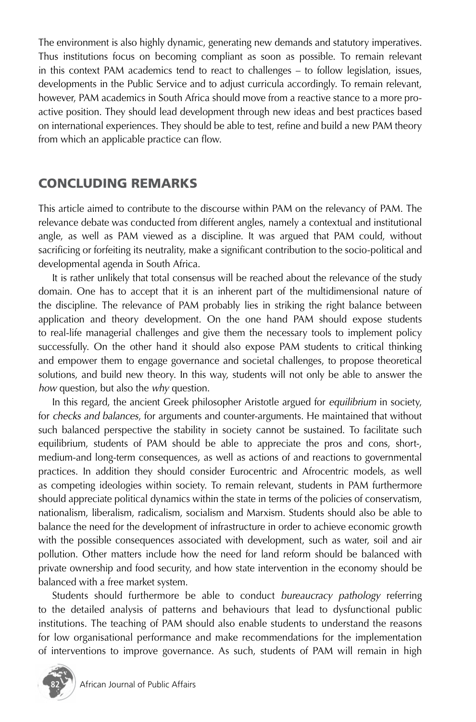The environment is also highly dynamic, generating new demands and statutory imperatives. Thus institutions focus on becoming compliant as soon as possible. To remain relevant in this context PAM academics tend to react to challenges – to follow legislation, issues, developments in the Public Service and to adjust curricula accordingly. To remain relevant, however, PAM academics in South Africa should move from a reactive stance to a more proactive position. They should lead development through new ideas and best practices based on international experiences. They should be able to test, refine and build a new PAM theory from which an applicable practice can flow.

# CONCLUDING REMARKS

This article aimed to contribute to the discourse within PAM on the relevancy of PAM. The relevance debate was conducted from different angles, namely a contextual and institutional angle, as well as PAM viewed as a discipline. It was argued that PAM could, without sacrificing or forfeiting its neutrality, make a significant contribution to the socio-political and developmental agenda in South Africa.

It is rather unlikely that total consensus will be reached about the relevance of the study domain. One has to accept that it is an inherent part of the multidimensional nature of the discipline. The relevance of PAM probably lies in striking the right balance between application and theory development. On the one hand PAM should expose students to real-life managerial challenges and give them the necessary tools to implement policy successfully. On the other hand it should also expose PAM students to critical thinking and empower them to engage governance and societal challenges, to propose theoretical solutions, and build new theory. In this way, students will not only be able to answer the *how* question, but also the *why* question.

In this regard, the ancient Greek philosopher Aristotle argued for *equilibrium* in society, for *checks and balances*, for arguments and counter-arguments. He maintained that without such balanced perspective the stability in society cannot be sustained. To facilitate such equilibrium, students of PAM should be able to appreciate the pros and cons, short-, medium-and long-term consequences, as well as actions of and reactions to governmental practices. In addition they should consider Eurocentric and Afrocentric models, as well as competing ideologies within society. To remain relevant, students in PAM furthermore should appreciate political dynamics within the state in terms of the policies of conservatism, nationalism, liberalism, radicalism, socialism and Marxism. Students should also be able to balance the need for the development of infrastructure in order to achieve economic growth with the possible consequences associated with development, such as water, soil and air pollution. Other matters include how the need for land reform should be balanced with private ownership and food security, and how state intervention in the economy should be balanced with a free market system.

Students should furthermore be able to conduct *bureaucracy pathology* referring to the detailed analysis of patterns and behaviours that lead to dysfunctional public institutions. The teaching of PAM should also enable students to understand the reasons for low organisational performance and make recommendations for the implementation of interventions to improve governance. As such, students of PAM will remain in high

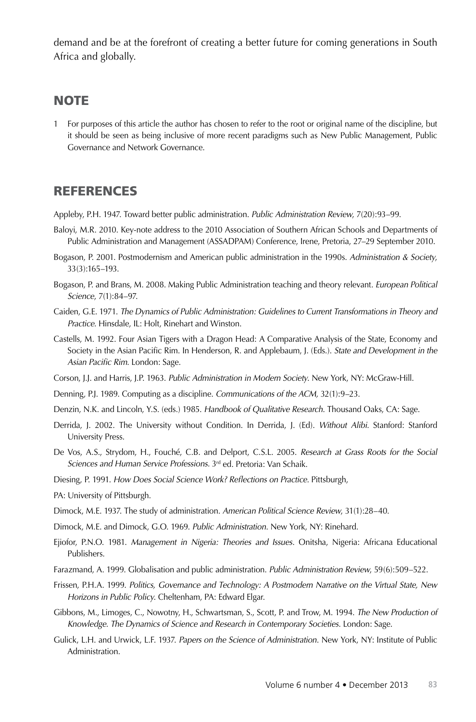demand and be at the forefront of creating a better future for coming generations in South Africa and globally.

#### **NOTE**

1 For purposes of this article the author has chosen to refer to the root or original name of the discipline, but it should be seen as being inclusive of more recent paradigms such as New Public Management, Public Governance and Network Governance.

# REFERENCES

Appleby, P.H. 1947. Toward better public administration. *Public Administration Review*, 7(20):93–99.

- Baloyi, M.R. 2010. Key-note address to the 2010 Association of Southern African Schools and Departments of Public Administration and Management (ASSADPAM) Conference, Irene, Pretoria, 27–29 September 2010.
- Bogason, P. 2001. Postmodernism and American public administration in the 1990s. *Administration & Society*, 33(3):165–193.
- Bogason, P. and Brans, M. 2008. Making Public Administration teaching and theory relevant. *European Political Science*, 7(1):84–97.
- Caiden, G.E. 1971. *The Dynamics of Public Administration: Guidelines to Current Transformations in Theory and Practice.* Hinsdale, IL: Holt, Rinehart and Winston.
- Castells, M. 1992. Four Asian Tigers with a Dragon Head: A Comparative Analysis of the State, Economy and Society in the Asian Pacific Rim. In Henderson, R. and Applebaum, J. (Eds.). *State and Development in the Asian Pacific Rim.* London: Sage.
- Corson, J.J. and Harris, J.P. 1963. *Public Administration in Modern Society*. New York, NY: McGraw-Hill.
- Denning, P.J. 1989. Computing as a discipline. *Communications of the ACM,* 32(1):9–23.
- Denzin, N.K. and Lincoln, Y.S. (eds.) 1985. *Handbook of Qualitative Research*. Thousand Oaks, CA: Sage.
- Derrida, J. 2002. The University without Condition. In Derrida, J. (Ed). *Without Alibi.* Stanford: Stanford University Press.
- De Vos, A.S., Strydom, H., Fouché, C.B. and Delport, C.S.L. 2005. *Research at Grass Roots for the Social Sciences and Human Service Professions.* 3rd ed. Pretoria: Van Schaik.
- Diesing, P. 1991. *How Does Social Science Work? Reflections on Practice.* Pittsburgh,
- PA: University of Pittsburgh.
- Dimock, M.E. 1937. The study of administration. *American Political Science Review*, 31(1):28–40.
- Dimock, M.E. and Dimock, G.O. 1969. *Public Administration*. New York, NY: Rinehard.
- Ejiofor, P.N.O. 1981. *Management in Nigeria: Theories and Issues*. Onitsha, Nigeria: Africana Educational Publishers.
- Farazmand, A. 1999. Globalisation and public administration. *Public Administration Review*, 59(6):509–522.
- Frissen, P.H.A. 1999. *Politics, Governance and Technology: A Postmodern Narrative on the Virtual State, New Horizons in Public Policy*. Cheltenham, PA: Edward Elgar.
- Gibbons, M., Limoges, C., Nowotny, H., Schwartsman, S., Scott, P. and Trow, M. 1994. *The New Production of Knowledge. The Dynamics of Science and Research in Contemporary Societies*. London: Sage.
- Gulick, L.H. and Urwick, L.F. 1937. *Papers on the Science of Administration*. New York, NY: Institute of Public Administration.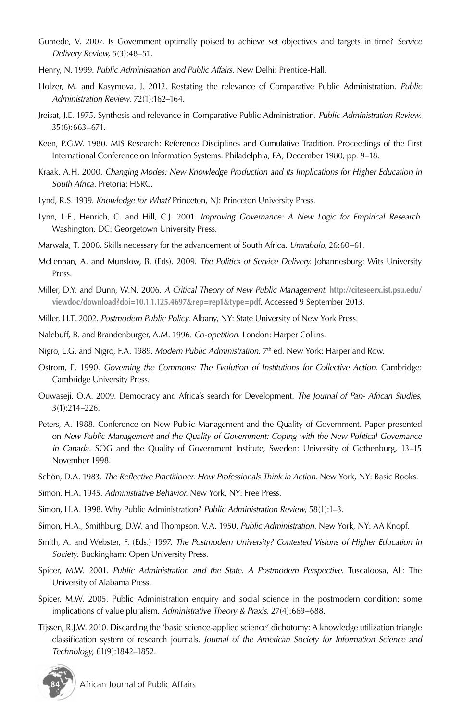- Gumede, V. 2007. Is Government optimally poised to achieve set objectives and targets in time? *Service Delivery Review,* 5(3):48–51.
- Henry, N. 1999. *Public Administration and Public Affairs.* New Delhi: Prentice-Hall.
- Holzer, M. and Kasymova, J. 2012. Restating the relevance of Comparative Public Administration. *Public Administration Review*. 72(1):162–164.
- Jreisat, J.E. 1975. Synthesis and relevance in Comparative Public Administration. *Public Administration Review*. 35(6):663–671.
- Keen, P.G.W. 1980. MIS Research: Reference Disciplines and Cumulative Tradition. Proceedings of the First International Conference on Information Systems. Philadelphia, PA, December 1980, pp. 9–18.
- Kraak, A.H. 2000. *Changing Modes: New Knowledge Production and its Implications for Higher Education in South Africa*. Pretoria: HSRC.
- Lynd, R.S. 1939. *Knowledge for What?* Princeton, NJ: Princeton University Press.
- Lynn, L.E., Henrich, C. and Hill, C.J. 2001. *Improving Governance: A New Logic for Empirical Research.*  Washington, DC: Georgetown University Press.
- Marwala, T. 2006. Skills necessary for the advancement of South Africa*. Umrabulo,* 26:60–61.
- McLennan, A. and Munslow, B. (Eds). 2009. *The Politics of Service Delivery.* Johannesburg: Wits University Press.
- Miller, D.Y. and Dunn, W.N. 2006. *A Critical Theory of New Public Management.* **http://citeseerx.ist.psu.edu/ viewdoc/download?doi=10.1.1.125.4697&rep=rep1&type=pdf**. Accessed 9 September 2013.
- Miller, H.T. 2002. *Postmodern Public Policy*. Albany, NY: State University of New York Press.
- Nalebuff, B. and Brandenburger, A.M. 1996. *Co-opetition*. London: Harper Collins.
- Nigro, L.G. and Nigro, F.A. 1989. *Modern Public Administration*. 7th ed. New York: Harper and Row.
- Ostrom, E. 1990. *Governing the Commons: The Evolution of Institutions for Collective Action.* Cambridge: Cambridge University Press.
- Ouwaseji, O.A. 2009. Democracy and Africa's search for Development. *The Journal of Pan- African Studies,* 3(1):214–226.
- Peters, A. 1988. Conference on New Public Management and the Quality of Government. Paper presented on *New Public Management and the Quality of Government: Coping with the New Political Governance in Canada*. SOG and the Quality of Government Institute, Sweden: University of Gothenburg, 13–15 November 1998.
- Schön, D.A. 1983. *The Reflective Practitioner. How Professionals Think in Action.* New York, NY: Basic Books.
- Simon, H.A. 1945. *Administrative Behavior.* New York, NY: Free Press.
- Simon, H.A. 1998. Why Public Administration? *Public Administration Review*, 58(1):1–3.
- Simon, H.A., Smithburg, D.W. and Thompson, V.A. 1950. *Public Administration*. New York, NY: AA Knopf.
- Smith, A. and Webster, F. (Eds.) 1997. *The Postmodern University? Contested Visions of Higher Education in Society*. Buckingham: Open University Press.
- Spicer, M.W. 2001. *Public Administration and the State. A Postmodern Perspective.* Tuscaloosa, AL: The University of Alabama Press.
- Spicer, M.W. 2005. Public Administration enquiry and social science in the postmodern condition: some implications of value pluralism. *Administrative Theory & Praxis,* 27(4):669–688.
- Tijssen, R.J.W. 2010. Discarding the 'basic science-applied science' dichotomy: A knowledge utilization triangle classification system of research journals. *Journal of the American Society for Information Science and Technology*, 61(9):1842–1852.